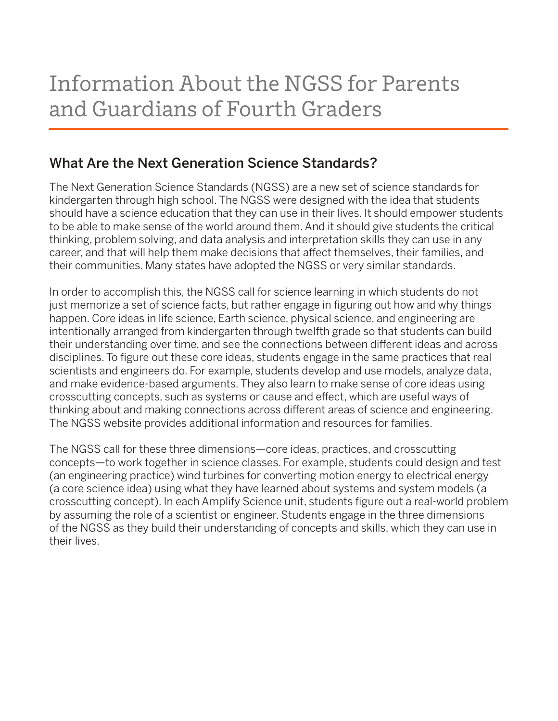## What Are the Next Generation Science Standards?

The Next Generation Science Standards (NGSS) are a new set of science standards for kindergarten through high school. The NGSS were designed with the idea that students should have a science education that they can use in their lives. It should empower students to be able to make sense of the world around them. And it should give students the critical thinking, problem solving, and data analysis and interpretation skills they can use in any career, and that will help them make decisions that affect themselves, their families, and their communities. Many states have adopted the NGSS or very similar standards.

In order to accomplish this, the NGSS call for science learning in which students do not just memorize a set of science facts, but rather engage in figuring out how and why things happen. Core ideas in life science, Earth science, physical science, and engineering are intentionally arranged from kindergarten through twelfth grade so that students can build their understanding over time, and see the connections between different ideas and across disciplines. To figure out these core ideas, students engage in the same practices that real scientists and engineers do. For example, students develop and use models, analyze data, and make evidence-based arguments. They also learn to make sense of core ideas using crosscutting concepts, such as systems or cause and effect, which are useful ways of thinking about and making connections across different areas of science and engineering. The NGSS website provides additional information and resources for families.

The NGSS call for these three dimensions—core ideas, practices, and crosscutting concepts—to work together in science classes. For example, students could design and test (an engineering practice) wind turbines for converting motion energy to electrical energy (a core science idea) using what they have learned about systems and system models (a crosscutting concept). In each Amplify Science unit, students figure out a real-world problem by assuming the role of a scientist or engineer. Students engage in the three dimensions of the NGSS as they build their understanding of concepts and skills, which they can use in their lives.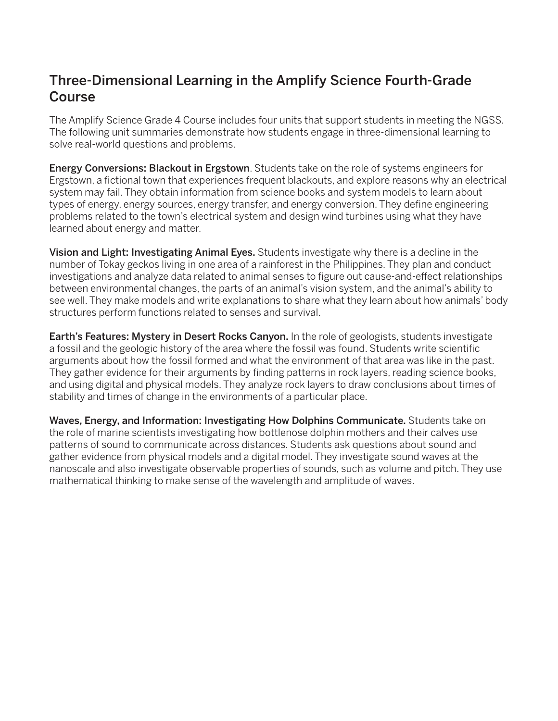## Three-Dimensional Learning in the Amplify Science Fourth-Grade Course

The Amplify Science Grade 4 Course includes four units that support students in meeting the NGSS. The following unit summaries demonstrate how students engage in three-dimensional learning to solve real-world questions and problems.

**Energy Conversions: Blackout in Ergstown**. Students take on the role of systems engineers for Ergstown, a fictional town that experiences frequent blackouts, and explore reasons why an electrical system may fail. They obtain information from science books and system models to learn about types of energy, energy sources, energy transfer, and energy conversion. They define engineering problems related to the town's electrical system and design wind turbines using what they have learned about energy and matter.

Vision and Light: Investigating Animal Eyes. Students investigate why there is a decline in the number of Tokay geckos living in one area of a rainforest in the Philippines. They plan and conduct investigations and analyze data related to animal senses to figure out cause-and-effect relationships between environmental changes, the parts of an animal's vision system, and the animal's ability to see well. They make models and write explanations to share what they learn about how animals' body structures perform functions related to senses and survival.

**Earth's Features: Mystery in Desert Rocks Canyon.** In the role of geologists, students investigate a fossil and the geologic history of the area where the fossil was found. Students write scientific arguments about how the fossil formed and what the environment of that area was like in the past. They gather evidence for their arguments by finding patterns in rock layers, reading science books, and using digital and physical models. They analyze rock layers to draw conclusions about times of stability and times of change in the environments of a particular place.

Waves, Energy, and Information: Investigating How Dolphins Communicate. Students take on the role of marine scientists investigating how bottlenose dolphin mothers and their calves use patterns of sound to communicate across distances. Students ask questions about sound and gather evidence from physical models and a digital model. They investigate sound waves at the nanoscale and also investigate observable properties of sounds, such as volume and pitch. They use mathematical thinking to make sense of the wavelength and amplitude of waves.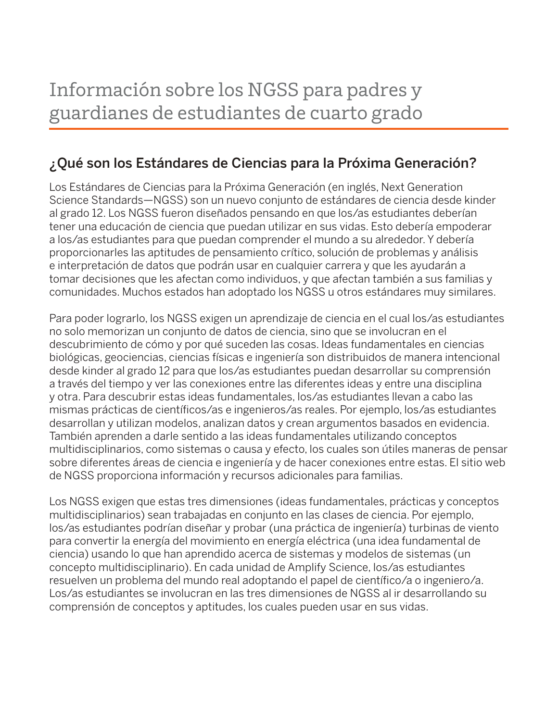## ¿Qué son los Estándares de Ciencias para la Próxima Generación?

Los Estándares de Ciencias para la Próxima Generación (en inglés, Next Generation Science Standards—NGSS) son un nuevo conjunto de estándares de ciencia desde kinder al grado 12. Los NGSS fueron diseñados pensando en que los/as estudiantes deberían tener una educación de ciencia que puedan utilizar en sus vidas. Esto debería empoderar a los/as estudiantes para que puedan comprender el mundo a su alrededor. Y debería proporcionarles las aptitudes de pensamiento crítico, solución de problemas y análisis e interpretación de datos que podrán usar en cualquier carrera y que les ayudarán a tomar decisiones que les afectan como individuos, y que afectan también a sus familias y comunidades. Muchos estados han adoptado los NGSS u otros estándares muy similares.

Para poder lograrlo, los NGSS exigen un aprendizaje de ciencia en el cual los/as estudiantes no solo memorizan un conjunto de datos de ciencia, sino que se involucran en el descubrimiento de cómo y por qué suceden las cosas. Ideas fundamentales en ciencias biológicas, geociencias, ciencias físicas e ingeniería son distribuidos de manera intencional desde kinder al grado 12 para que los/as estudiantes puedan desarrollar su comprensión a través del tiempo y ver las conexiones entre las diferentes ideas y entre una disciplina y otra. Para descubrir estas ideas fundamentales, los/as estudiantes llevan a cabo las mismas prácticas de científicos/as e ingenieros/as reales. Por ejemplo, los/as estudiantes desarrollan y utilizan modelos, analizan datos y crean argumentos basados en evidencia. También aprenden a darle sentido a las ideas fundamentales utilizando conceptos multidisciplinarios, como sistemas o causa y efecto, los cuales son útiles maneras de pensar sobre diferentes áreas de ciencia e ingeniería y de hacer conexiones entre estas. El sitio web de NGSS proporciona información y recursos adicionales para familias.

Los NGSS exigen que estas tres dimensiones (ideas fundamentales, prácticas y conceptos multidisciplinarios) sean trabajadas en conjunto en las clases de ciencia. Por ejemplo, los/as estudiantes podrían diseñar y probar (una práctica de ingeniería) turbinas de viento para convertir la energía del movimiento en energía eléctrica (una idea fundamental de ciencia) usando lo que han aprendido acerca de sistemas y modelos de sistemas (un concepto multidisciplinario). En cada unidad de Amplify Science, los/as estudiantes resuelven un problema del mundo real adoptando el papel de científico/a o ingeniero/a. Los/as estudiantes se involucran en las tres dimensiones de NGSS al ir desarrollando su comprensión de conceptos y aptitudes, los cuales pueden usar en sus vidas.